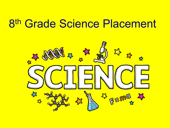# 8th Grade Science Placement

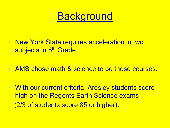

- New York State requires acceleration in two subjects in 8<sup>th</sup> Grade.
- AMS chose math & science to be those courses.
- With our current criteria, Ardsley students score high on the Regents Earth Science exams (2/3 of students score 85 or higher).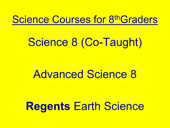# Science Courses for 8thGraders

# Science 8 (Co-Taught)

# Advanced Science 8

# **Regents** Earth Science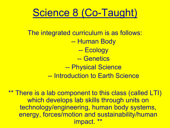# Science 8 (Co-Taught)

The integrated curriculum is as follows: -- Human Body -- Ecology -- Genetics -- Physical Science -- Introduction to Earth Science

\*\* There is a lab component to this class (called LTI) which develops lab skills through units on technology/engineering, human body systems, energy, forces/motion and sustainability/human impact.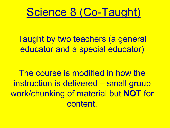

Taught by two teachers (a general educator and a special educator)

The course is modified in how the instruction is delivered – small group work/chunking of material but **NOT** for content.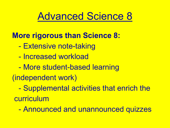## Advanced Science 8

#### **More rigorous than Science 8:**

- Extensive note-taking
- Increased workload
- More student-based learning
- (independent work)
	- Supplemental activities that enrich the curriculum
		- Announced and unannounced quizzes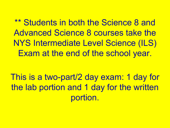\*\* Students in both the Science 8 and Advanced Science 8 courses take the NYS Intermediate Level Science (ILS) Exam at the end of the school year.

This is a two-part/2 day exam: 1 day for the lab portion and 1 day for the written portion.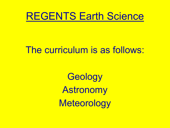## REGENTS Earth Science

#### The curriculum is as follows:

**Geology** Astronomy **Meteorology**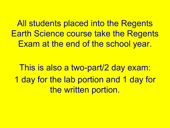All students placed into the Regents Earth Science course take the Regents Exam at the end of the school year.

This is also a two-part/2 day exam: 1 day for the lab portion and 1 day for the written portion.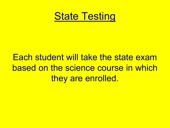

## Each student will take the state exam based on the science course in which they are enrolled.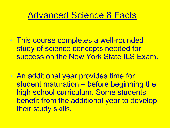### Advanced Science 8 Facts

- This course completes a well-rounded study of science concepts needed for success on the New York State ILS Exam.
- An additional year provides time for student maturation – before beginning the high school curriculum. Some students benefit from the additional year to develop their study skills.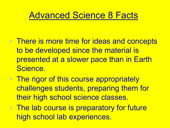### Advanced Science 8 Facts

- There is more time for ideas and concepts to be developed since the material is presented at a slower pace than in Earth Science.
- The rigor of this course appropriately challenges students, preparing them for their high school science classes.
- The lab course is preparatory for future high school lab experiences.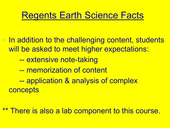### Regents Earth Science Facts

• In addition to the challenging content, students will be asked to meet higher expectations: -- extensive note-taking -- memorization of content -- application & analysis of complex **concepts** 

\*\* There is also a lab component to this course.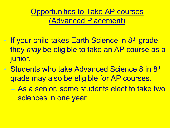Opportunities to Take AP courses (Advanced Placement)

- If your child takes Earth Science in 8<sup>th</sup> grade, they *may* be eligible to take an AP course as a junior.
	- **Students who take Advanced Science 8 in 8th** grade may also be eligible for AP courses.
		- As a senior, some students elect to take two sciences in one year.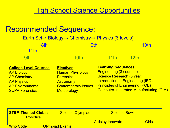#### **High School Science Opportunities**

| <b>Recommended Sequence:</b>                                                                                                                      | Earth Sci $\rightarrow$ Biology $\rightarrow$ Chemistry $\rightarrow$ Physics (3 levels)                                                |                                                                                                                                                                                                                           |             |  |
|---------------------------------------------------------------------------------------------------------------------------------------------------|-----------------------------------------------------------------------------------------------------------------------------------------|---------------------------------------------------------------------------------------------------------------------------------------------------------------------------------------------------------------------------|-------------|--|
| 8th<br><b>11th</b>                                                                                                                                | 9th                                                                                                                                     |                                                                                                                                                                                                                           | 10th        |  |
| 9th                                                                                                                                               | <u>10th</u>                                                                                                                             | <u>11th</u>                                                                                                                                                                                                               | <u>12th</u> |  |
| <b>College Level Courses</b><br><b>AP Biology</b><br><b>AP Chemistry</b><br><b>AP Physics</b><br><b>AP Environmental</b><br><b>SUPA Forensics</b> | <b>Electives</b><br><b>Human Physiology</b><br><b>Forensics</b><br><b>Astronomy</b><br><b>Contemporary Issues</b><br><b>Meteorology</b> | <b>Learning Sequences</b><br><b>Engineering (3 courses)</b><br>Science Research (3 year)<br>Introduction to Engineering (IED)<br><b>Principles of Engineering (POE)</b><br><b>Computer Integrated Manufacturing (CIM)</b> |             |  |
| <b>STEM Themed Clubs:</b><br><b>Robotics</b>                                                                                                      | <b>Science Olympiad</b>                                                                                                                 | <b>Science Bowl</b>                                                                                                                                                                                                       |             |  |

Ardsley Innovate Girls

Who Code **Communisms**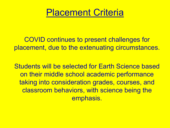## Placement Criteria

COVID continues to present challenges for placement, due to the extenuating circumstances.

Students will be selected for Earth Science based on their middle school academic performance taking into consideration grades, courses, and classroom behaviors, with science being the emphasis.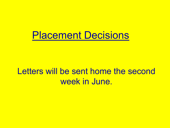## Placement Decisions

### Letters will be sent home the second week in June.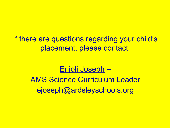If there are questions regarding your child's placement, please contact:

#### Enjoli Joseph –

AMS Science Curriculum Leader ejoseph@ardsleyschools.org